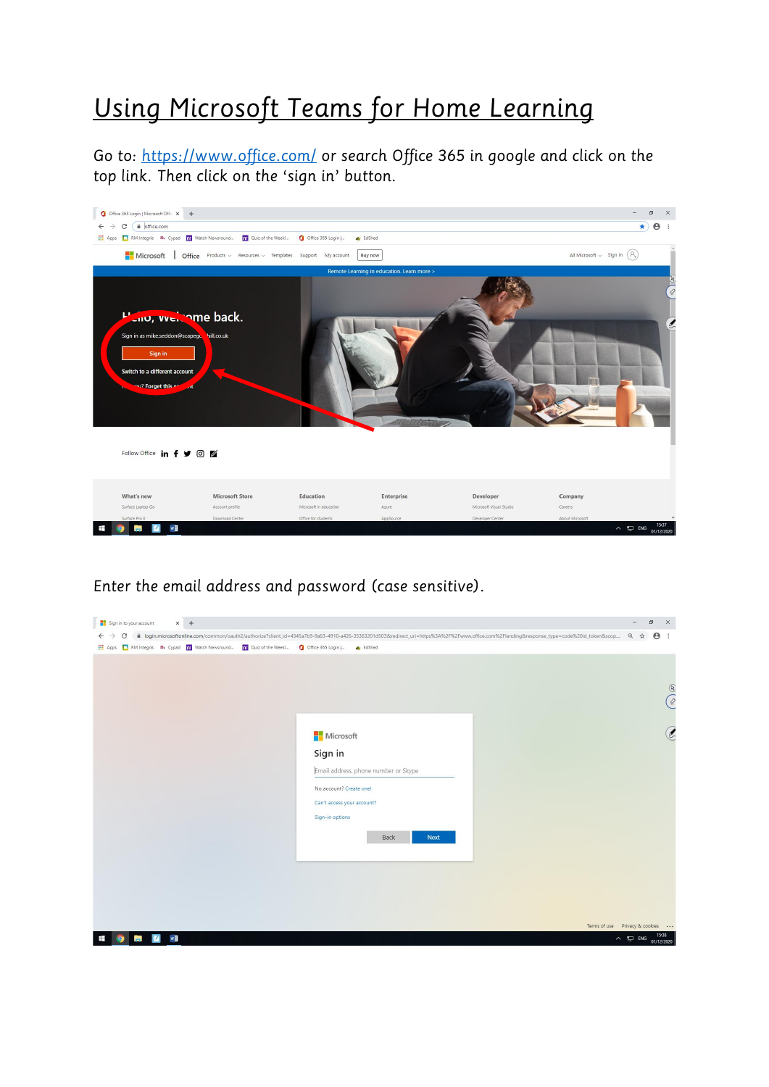## *Using Microsoft Teams for Home Learning*

*Go to:<https://www.office.com/> or search Office 365 in google and click on the top link. Then click on the 'sign in' button.*



*Enter the email address and password (case sensitive).*

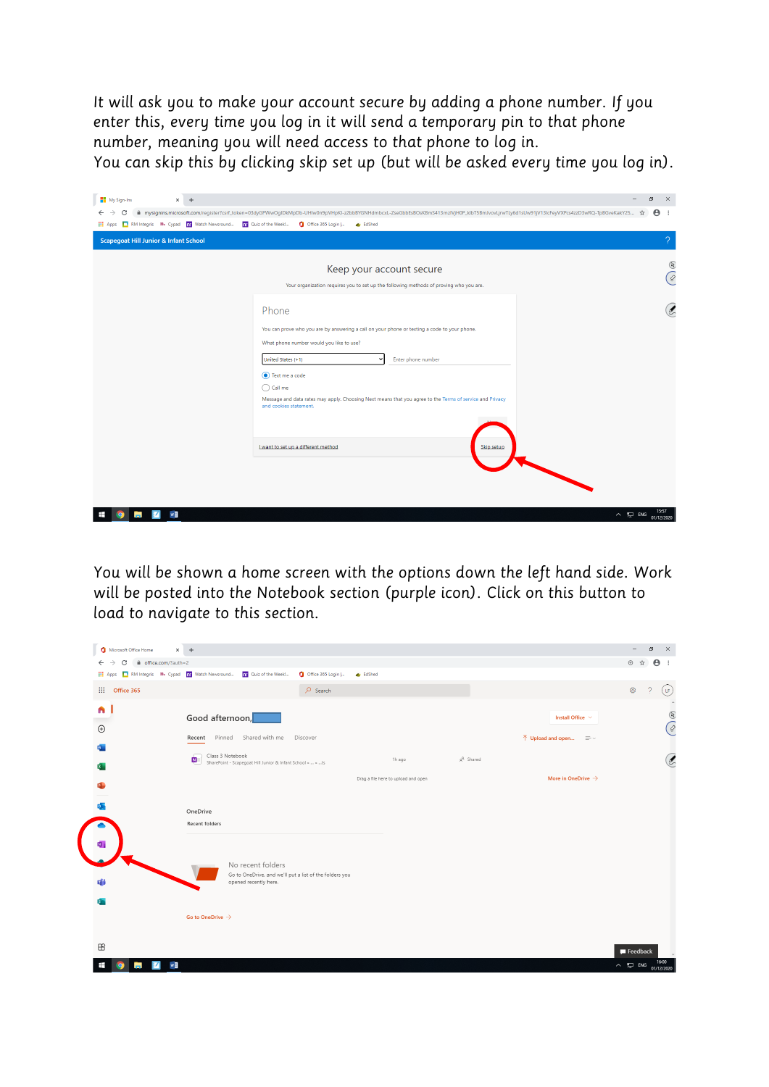*It will ask you to make your account secure by adding a phone number. If you enter this, every time you log in it will send a temporary pin to that phone number, meaning you will need access to that phone to log in. You can skip this by clicking skip set up (but will be asked every time you log in).*

My Sign-Ins  $\times$  +  $\sigma$   $\times$   $^{-}$  $\leftarrow$   $\rightarrow$   $\texttt{C}$  | a mysignins.microsoft.com/register?csrf\_token=03dyGPWwOgIDkMpDb-UHlw0n9pVHpKl-z2bbBYGNHdmbcd-ZseGbbEsBOsKBmS413mzIVjH0P\_klbT5BmJvovLjrwTLy6d1sUw91jV13lcFeyVXPcs4zzD3wRQ-TpBGveKakY25...  $\star$  |  $\textbf{\Theta}$ [11] Apps | RM Integris # Cypad | nr Watch Newsround... | nr Quiz of the Week!... | 1 Office 365 Login |... a. EdShed Scapegoat Hill Junior & Infant School  $\begin{picture}(20,20) \put(0,0){\vector(0,1){10}} \put(15,0){\vector(0,1){10}} \put(15,0){\vector(0,1){10}} \put(15,0){\vector(0,1){10}} \put(15,0){\vector(0,1){10}} \put(15,0){\vector(0,1){10}} \put(15,0){\vector(0,1){10}} \put(15,0){\vector(0,1){10}} \put(15,0){\vector(0,1){10}} \put(15,0){\vector(0,1){10}} \put(15,0){\vector(0,1){10}} \put(15,0){\vector(0$ Keep your account secure  $\sqrt{6}$ Your organization requires you to set up the following methods of proving who you are.  $\mathcal{C}$ Phone You can prove who you are by answering a call on your phone or texting a code to your phone What phone number would you like to use?  $\overline{\phantom{a}}$  Enter phone number United States  $(+1)$ Text me a code  $\bigcirc$  Call me Message and data rates may apply. Choosing Next means that you agree to the Terms of service and Priva I want to set up a different method

*You will be shown a home screen with the options down the left hand side. Work will be posted into the Notebook section (purple icon). Click on this button to load to navigate to this section.*

 $\Box$  ENG

**COMP** 

| Microsoft Office Home                                                                                               | $\times$ +                                                                                                                                            | α<br>-                  | $\times$                   |
|---------------------------------------------------------------------------------------------------------------------|-------------------------------------------------------------------------------------------------------------------------------------------------------|-------------------------|----------------------------|
| file.com/?auth=2<br>$\rightarrow$<br>C<br>$\leftarrow$<br>RM Integris # Cypad nr Watch Newsround<br><b>III</b> Apps | nr Quiz of the Week!<br>Office 365 Login  <br><b>ID</b> EdShed                                                                                        | ⊕ ☆<br>$\Theta$ :       |                            |
| 田<br>Office 365                                                                                                     | $O$ Search                                                                                                                                            | Ø,<br>$\mathcal{P}$     | Œ                          |
| $\begin{array}{c}\n\bullet \\ \bullet\n\end{array}$<br>w.                                                           | Good afternoon,<br>Install Office $\sim$<br>Pinned Shared with me<br>Discover<br>$\bar{\uparrow}$ Upload and open $\equiv \bar{\downarrow}$<br>Recent |                         | $^\circledR$<br>$\bigcirc$ |
| $\mathbf{x}$                                                                                                        | Class 3 Notebook<br>g <sup>R</sup> Shared<br>Þ.<br>1h ago<br>SharePoint - Scapegoat Hill Junior & Infant School »  » ts                               |                         | ŀ,                         |
| P.                                                                                                                  | More in OneDrive $\rightarrow$<br>Drag a file here to upload and open                                                                                 |                         |                            |
| o.<br>Ф,                                                                                                            | OneDrive<br>Recent folders                                                                                                                            |                         |                            |
| s.                                                                                                                  | No recent folders<br>Go to OneDrive, and we'll put a list of the folders you<br>opened recently here.                                                 |                         |                            |
|                                                                                                                     | Go to OneDrive $\rightarrow$                                                                                                                          |                         |                            |
| $\mathbb{B}$                                                                                                        |                                                                                                                                                       | $\blacksquare$ Feedback |                            |
| $w \equiv$<br>m.                                                                                                    |                                                                                                                                                       | ∧ □ ENG                 | 16:00<br>01/12/2020        |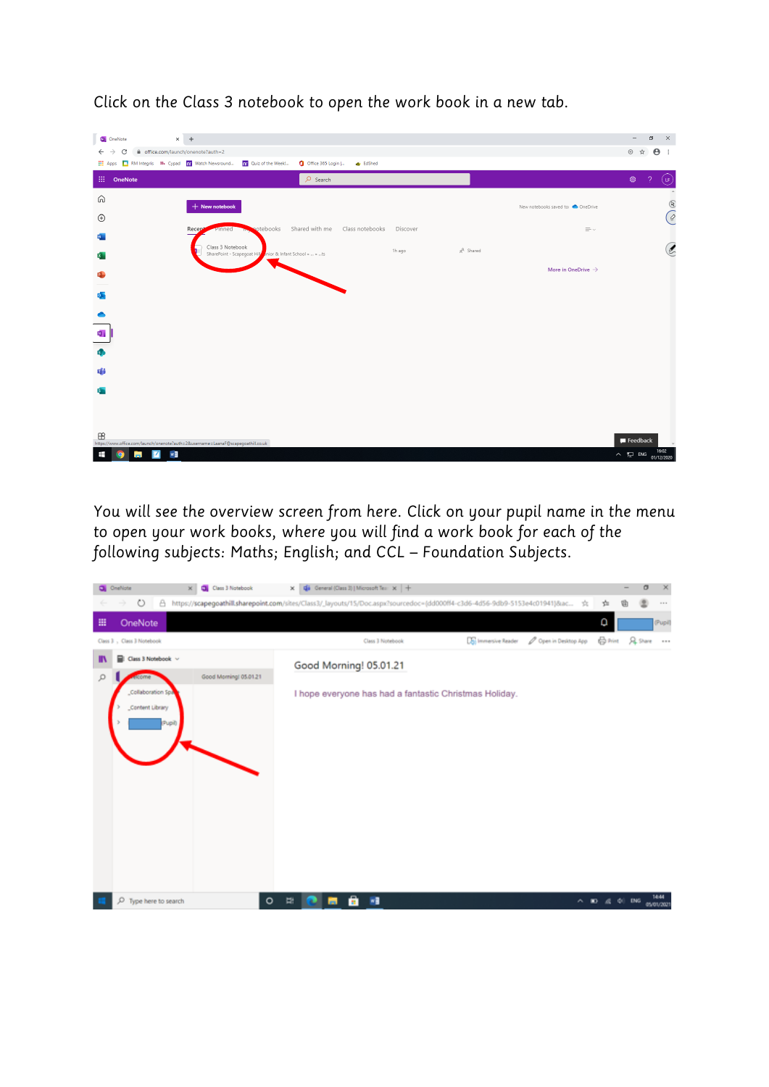| <b>D</b> OneNote                   | $\times$ +                                                                                                                                       |                                  | $\sigma$<br>$\boldsymbol{\times}$<br>$\overline{\phantom{0}}$                                                                                                                                                                                                                                                                                                                                                                                                   |
|------------------------------------|--------------------------------------------------------------------------------------------------------------------------------------------------|----------------------------------|-----------------------------------------------------------------------------------------------------------------------------------------------------------------------------------------------------------------------------------------------------------------------------------------------------------------------------------------------------------------------------------------------------------------------------------------------------------------|
| C<br>$\leftarrow$<br>$\rightarrow$ | office.com/launch/onenote?auth=2                                                                                                                 |                                  | $\Theta$ :<br>⊕ ☆                                                                                                                                                                                                                                                                                                                                                                                                                                               |
|                                    | [11] Apps <b>12</b> RM Integris <b>18.</b> Cypad <b>nr</b> Watch Newsround <b>nr</b> Quiz of the Week!<br>Office 365 Login  <br><b>ID</b> EdShed |                                  |                                                                                                                                                                                                                                                                                                                                                                                                                                                                 |
| 扭<br>OneNote                       | $O$ Search                                                                                                                                       |                                  | ශ<br>$\mathcal{P}$<br>(ၾ                                                                                                                                                                                                                                                                                                                                                                                                                                        |
| ⋒                                  |                                                                                                                                                  |                                  | $\Delta$                                                                                                                                                                                                                                                                                                                                                                                                                                                        |
| $\bigoplus$                        | $+$ New notebook                                                                                                                                 | New notebooks saved to: OneDrive | $\begin{pmatrix} \mathcal{D} & \mathcal{D} & \mathcal{D} & \mathcal{D} & \mathcal{D} & \mathcal{D} & \mathcal{D} & \mathcal{D} & \mathcal{D} & \mathcal{D} & \mathcal{D} & \mathcal{D} & \mathcal{D} & \mathcal{D} & \mathcal{D} & \mathcal{D} & \mathcal{D} & \mathcal{D} & \mathcal{D} & \mathcal{D} & \mathcal{D} & \mathcal{D} & \mathcal{D} & \mathcal{D} & \mathcal{D} & \mathcal{D} & \mathcal{D} & \mathcal{D} & \mathcal{D} & \mathcal{D} & \mathcal{$ |
| w.                                 | Shared with me<br>Class notebooks<br>potebooks<br>Discover<br>Recept<br>Pinned                                                                   | $\equiv$ $\sim$                  |                                                                                                                                                                                                                                                                                                                                                                                                                                                                 |
|                                    | Class 3 Notebook<br>$g^R$ Shared<br>1h ago<br>SharePoint - Scapegoat Hillerin or & Infant School »  » ts                                         |                                  | $\circledell$                                                                                                                                                                                                                                                                                                                                                                                                                                                   |
| x.                                 |                                                                                                                                                  | More in OneDrive $\rightarrow$   |                                                                                                                                                                                                                                                                                                                                                                                                                                                                 |
| ¢                                  |                                                                                                                                                  |                                  |                                                                                                                                                                                                                                                                                                                                                                                                                                                                 |
| $\circ$                            |                                                                                                                                                  |                                  |                                                                                                                                                                                                                                                                                                                                                                                                                                                                 |
|                                    |                                                                                                                                                  |                                  |                                                                                                                                                                                                                                                                                                                                                                                                                                                                 |
| ю,                                 |                                                                                                                                                  |                                  |                                                                                                                                                                                                                                                                                                                                                                                                                                                                 |
| б,                                 |                                                                                                                                                  |                                  |                                                                                                                                                                                                                                                                                                                                                                                                                                                                 |
|                                    |                                                                                                                                                  |                                  |                                                                                                                                                                                                                                                                                                                                                                                                                                                                 |
| 肅                                  |                                                                                                                                                  |                                  |                                                                                                                                                                                                                                                                                                                                                                                                                                                                 |
| <b>Sin</b>                         |                                                                                                                                                  |                                  |                                                                                                                                                                                                                                                                                                                                                                                                                                                                 |
|                                    |                                                                                                                                                  |                                  |                                                                                                                                                                                                                                                                                                                                                                                                                                                                 |
|                                    |                                                                                                                                                  |                                  |                                                                                                                                                                                                                                                                                                                                                                                                                                                                 |
| $\mathbb B$                        | https://www.office.com/launch/onenote?auth=2&username=LaanaF@scapegoathill.co.uk                                                                 |                                  | $\blacksquare$ Feedback                                                                                                                                                                                                                                                                                                                                                                                                                                         |
| $w \equiv$<br>図<br>Ŧ<br>in.        |                                                                                                                                                  |                                  | 16:02<br>$\land$ $\Box$ ENG<br>01/12/2020                                                                                                                                                                                                                                                                                                                                                                                                                       |

*Click on the Class 3 notebook to open the work book in a new tab.*

*You will see the overview screen from here. Click on your pupil name in the menu to open your work books, where you will find a work book for each of the following subjects: Maths; English; and CCL – Foundation Subjects.* 

|   | <b>Q</b> OneNote |                            | Class 3 Notebook<br>$\times$                                                                                               |         |                                | X Canaral (Class 3)   Microsoft Tes: X   + |   |                  |  |                                                        |                     |   |                |                                                             | σ | $\times$    |
|---|------------------|----------------------------|----------------------------------------------------------------------------------------------------------------------------|---------|--------------------------------|--------------------------------------------|---|------------------|--|--------------------------------------------------------|---------------------|---|----------------|-------------------------------------------------------------|---|-------------|
|   |                  | $\circ$<br>å<br>÷          | https://scapegoathill.sharepoint.com/sites/Class3/_layouts/15/Doc.aspx?sourcedoc=(dd000ff4-c3d6-4d56-9db9-5153e4c01941)8ac |         |                                |                                            |   |                  |  |                                                        |                     | ☆ | 咖              |                                                             |   | $\sim$ 0.10 |
| 冊 |                  | OneNote                    |                                                                                                                            |         |                                |                                            |   |                  |  |                                                        |                     |   | ٥              |                                                             |   | (Pupil)     |
|   |                  | Class 3 , Class 3 Notebook |                                                                                                                            |         |                                |                                            |   | Class 3 Notebook |  | <b>Das Immersive Reader</b>                            | Cyen in Desktop App |   | <b>合</b> Print | <b>A</b> Share                                              |   | $-22.5$     |
| Ш |                  | Class 3 Notebook v<br>∍    |                                                                                                                            |         |                                | Good Morning! 05.01.21                     |   |                  |  |                                                        |                     |   |                |                                                             |   |             |
| ρ |                  | estome                     | Good Morning! 05.01.21                                                                                                     |         |                                |                                            |   |                  |  |                                                        |                     |   |                |                                                             |   |             |
|   |                  | Collaboration Sp.          |                                                                                                                            |         |                                |                                            |   |                  |  | I hope everyone has had a fantastic Christmas Holiday. |                     |   |                |                                                             |   |             |
|   |                  | Content Library            |                                                                                                                            |         |                                |                                            |   |                  |  |                                                        |                     |   |                |                                                             |   |             |
|   |                  | (Pupil)                    |                                                                                                                            |         |                                |                                            |   |                  |  |                                                        |                     |   |                |                                                             |   |             |
|   |                  |                            |                                                                                                                            |         |                                |                                            |   |                  |  |                                                        |                     |   |                |                                                             |   |             |
|   |                  |                            |                                                                                                                            |         |                                |                                            |   |                  |  |                                                        |                     |   |                |                                                             |   |             |
|   |                  |                            |                                                                                                                            |         |                                |                                            |   |                  |  |                                                        |                     |   |                |                                                             |   |             |
|   |                  |                            |                                                                                                                            |         |                                |                                            |   |                  |  |                                                        |                     |   |                |                                                             |   |             |
|   |                  |                            |                                                                                                                            |         |                                |                                            |   |                  |  |                                                        |                     |   |                |                                                             |   |             |
|   |                  |                            |                                                                                                                            |         |                                |                                            |   |                  |  |                                                        |                     |   |                |                                                             |   |             |
|   |                  |                            |                                                                                                                            |         |                                |                                            |   |                  |  |                                                        |                     |   |                |                                                             |   |             |
|   |                  |                            |                                                                                                                            |         |                                |                                            |   |                  |  |                                                        |                     |   |                |                                                             |   |             |
|   |                  |                            |                                                                                                                            |         |                                |                                            |   |                  |  |                                                        |                     |   |                |                                                             |   |             |
|   |                  | O Type here to search      |                                                                                                                            | $\circ$ | $\mathbb{R}^2$<br><b>100 L</b> |                                            | m | <b>WE</b>        |  |                                                        |                     |   |                | $\wedge$ <b>ED</b> $\leq$ $\leq$ 01 DKG $_{\text{Mottort}}$ |   | 14:44       |